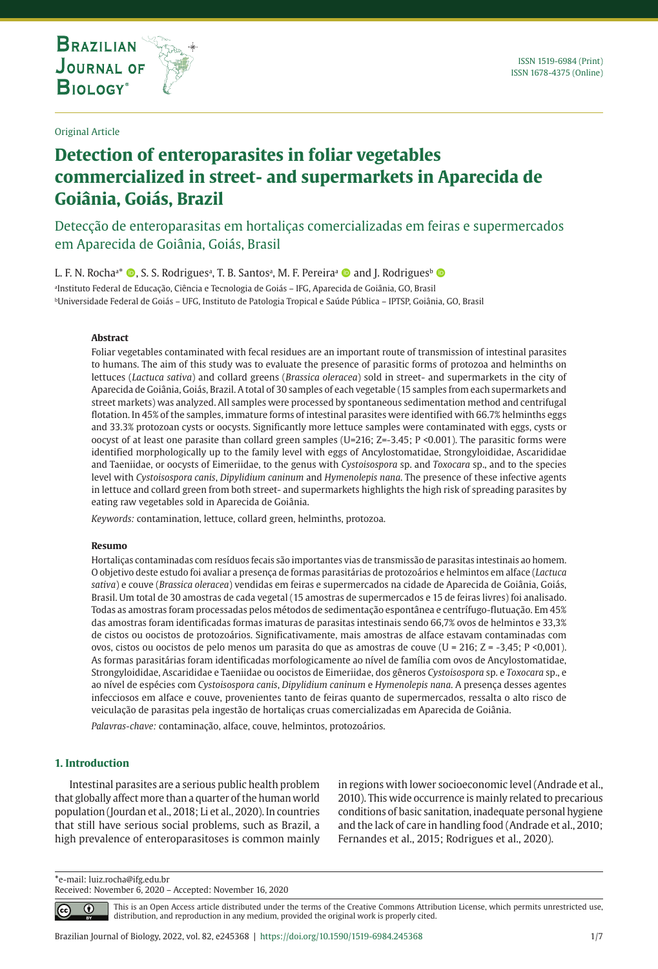

**THE INTERNATIONAL JOURNAL ON GLOBAL BIODIVERSITY AND ENVIRONMENT**

Original Article

# **Detection of enteroparasites in foliar vegetables commercialized in street- and supermarkets in Aparecida de Goiânia, Goiás, Brazil**

Detecção de enteroparasitas em hortaliças comercializadas em feiras e supermercados em Aparecida de Goiânia, Goiás, Brasil

L. F. N. Rocha<sup>a\*</sup> ©, S. S. Rodriguesª, T. B. Santosª, M. F. Pereiraª © and J. Rodriguesʰ ©

a Instituto Federal de Educação, Ciência e Tecnologia de Goiás – IFG, Aparecida de Goiânia, GO, Brasil bUniversidade Federal de Goiás – UFG, Instituto de Patologia Tropical e Saúde Pública – IPTSP, Goiânia, GO, Brasil

## **Abstract**

Foliar vegetables contaminated with fecal residues are an important route of transmission of intestinal parasites to humans. The aim of this study was to evaluate the presence of parasitic forms of protozoa and helminths on lettuces (*Lactuca sativa*) and collard greens (*Brassica oleracea*) sold in street- and supermarkets in the city of Aparecida de Goiânia, Goiás, Brazil. A total of 30 samples of each vegetable (15 samples from each supermarkets and street markets) was analyzed. All samples were processed by spontaneous sedimentation method and centrifugal flotation. In 45% of the samples, immature forms of intestinal parasites were identified with 66.7% helminths eggs and 33.3% protozoan cysts or oocysts. Significantly more lettuce samples were contaminated with eggs, cysts or oocyst of at least one parasite than collard green samples (U=216; Z=-3.45; P <0.001). The parasitic forms were identified morphologically up to the family level with eggs of Ancylostomatidae, Strongyloididae, Ascarididae and Taeniidae, or oocysts of Eimeriidae, to the genus with *Cystoisospora* sp. and *Toxocara* sp., and to the species level with *Cystoisospora canis*, *Dipylidium caninum* and *Hymenolepis nana*. The presence of these infective agents in lettuce and collard green from both street- and supermarkets highlights the high risk of spreading parasites by eating raw vegetables sold in Aparecida de Goiânia.

*Keywords:* contamination, lettuce, collard green, helminths, protozoa.

#### **Resumo**

Hortaliças contaminadas com resíduos fecais são importantes vias de transmissão de parasitas intestinais ao homem. O objetivo deste estudo foi avaliar a presença de formas parasitárias de protozoários e helmintos em alface (*Lactuca sativa*) e couve (*Brassica oleracea*) vendidas em feiras e supermercados na cidade de Aparecida de Goiânia, Goiás, Brasil. Um total de 30 amostras de cada vegetal (15 amostras de supermercados e 15 de feiras livres) foi analisado. Todas as amostras foram processadas pelos métodos de sedimentação espontânea e centrífugo-flutuação. Em 45% das amostras foram identificadas formas imaturas de parasitas intestinais sendo 66,7% ovos de helmintos e 33,3% de cistos ou oocistos de protozoários. Significativamente, mais amostras de alface estavam contaminadas com ovos, cistos ou oocistos de pelo menos um parasita do que as amostras de couve (U = 216; Z = -3,45; P <0,001). As formas parasitárias foram identificadas morfologicamente ao nível de família com ovos de Ancylostomatidae, Strongyloididae, Ascarididae e Taeniidae ou oocistos de Eimeriidae, dos gêneros *Cystoisospora* sp. e *Toxocara* sp., e ao nível de espécies com *Cystoisospora canis*, *Dipylidium caninum* e *Hymenolepis nana*. A presença desses agentes infecciosos em alface e couve, provenientes tanto de feiras quanto de supermercados, ressalta o alto risco de veiculação de parasitas pela ingestão de hortaliças cruas comercializadas em Aparecida de Goiânia.

*Palavras-chave:* contaminação, alface, couve, helmintos, protozoários.

#### **1. Introduction**

⋒

 $|cc|$ 

Intestinal parasites are a serious public health problem that globally affect more than a quarter of the human world population (Jourdan et al., 2018; Li et al., 2020). In countries that still have serious social problems, such as Brazil, a high prevalence of enteroparasitoses is common mainly in regions with lower socioeconomic level (Andrade et al., 2010). This wide occurrence is mainly related to precarious conditions of basic sanitation, inadequate personal hygiene and the lack of care in handling food (Andrade et al., 2010; Fernandes et al., 2015; Rodrigues et al., 2020).

**\***e-mail: luiz.rocha@ifg.edu.br

Received: November 6, 2020 – Accepted: November 16, 2020

This is an Open Access article distributed under the terms of the Creative Commons Attribution License, which permits unrestricted use, distribution, and reproduction in any medium, provided the original work is properly cited.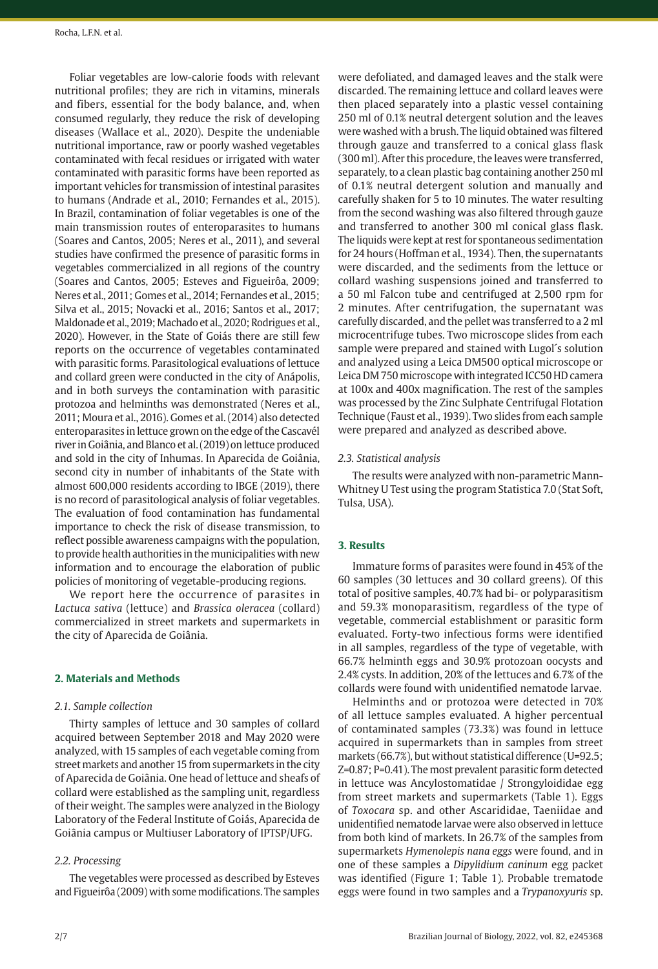Foliar vegetables are low-calorie foods with relevant nutritional profiles; they are rich in vitamins, minerals and fibers, essential for the body balance, and, when consumed regularly, they reduce the risk of developing diseases (Wallace et al., 2020). Despite the undeniable nutritional importance, raw or poorly washed vegetables contaminated with fecal residues or irrigated with water contaminated with parasitic forms have been reported as important vehicles for transmission of intestinal parasites to humans (Andrade et al., 2010; Fernandes et al., 2015). In Brazil, contamination of foliar vegetables is one of the main transmission routes of enteroparasites to humans (Soares and Cantos, 2005; Neres et al., 2011), and several studies have confirmed the presence of parasitic forms in vegetables commercialized in all regions of the country (Soares and Cantos, 2005; Esteves and Figueirôa, 2009; Neres et al., 2011; Gomes et al., 2014; Fernandes et al., 2015; Silva et al., 2015; Novacki et al., 2016; Santos et al., 2017; Maldonade et al., 2019; Machado et al., 2020; Rodrigues et al., 2020). However, in the State of Goiás there are still few reports on the occurrence of vegetables contaminated with parasitic forms. Parasitological evaluations of lettuce and collard green were conducted in the city of Anápolis, and in both surveys the contamination with parasitic protozoa and helminths was demonstrated (Neres et al., 2011; Moura et al., 2016). Gomes et al. (2014) also detected enteroparasites in lettuce grown on the edge of the Cascavél river in Goiânia, and Blanco et al. (2019) on lettuce produced and sold in the city of Inhumas. In Aparecida de Goiânia, second city in number of inhabitants of the State with almost 600,000 residents according to IBGE (2019), there is no record of parasitological analysis of foliar vegetables. The evaluation of food contamination has fundamental importance to check the risk of disease transmission, to reflect possible awareness campaigns with the population, to provide health authorities in the municipalities with new information and to encourage the elaboration of public policies of monitoring of vegetable-producing regions.

We report here the occurrence of parasites in *Lactuca sativa* (lettuce) and *Brassica oleracea* (collard) commercialized in street markets and supermarkets in the city of Aparecida de Goiânia.

## **2. Materials and Methods**

## *2.1. Sample collection*

Thirty samples of lettuce and 30 samples of collard acquired between September 2018 and May 2020 were analyzed, with 15 samples of each vegetable coming from street markets and another 15 from supermarkets in the city of Aparecida de Goiânia. One head of lettuce and sheafs of collard were established as the sampling unit, regardless of their weight. The samples were analyzed in the Biology Laboratory of the Federal Institute of Goiás, Aparecida de Goiânia campus or Multiuser Laboratory of IPTSP/UFG.

#### *2.2. Processing*

The vegetables were processed as described by Esteves and Figueirôa (2009) with some modifications. The samples were defoliated, and damaged leaves and the stalk were discarded. The remaining lettuce and collard leaves were then placed separately into a plastic vessel containing 250 ml of 0.1% neutral detergent solution and the leaves were washed with a brush. The liquid obtained was filtered through gauze and transferred to a conical glass flask (300 ml). After this procedure, the leaves were transferred, separately, to a clean plastic bag containing another 250 ml of 0.1% neutral detergent solution and manually and carefully shaken for 5 to 10 minutes. The water resulting from the second washing was also filtered through gauze and transferred to another 300 ml conical glass flask. The liquids were kept at rest for spontaneous sedimentation for 24 hours (Hoffman et al., 1934). Then, the supernatants were discarded, and the sediments from the lettuce or collard washing suspensions joined and transferred to a 50 ml Falcon tube and centrifuged at 2,500 rpm for 2 minutes. After centrifugation, the supernatant was carefully discarded, and the pellet was transferred to a 2 ml microcentrifuge tubes. Two microscope slides from each sample were prepared and stained with Lugol´s solution and analyzed using a Leica DM500 optical microscope or Leica DM 750 microscope with integrated ICC50 HD camera at 100x and 400x magnification. The rest of the samples was processed by the Zinc Sulphate Centrifugal Flotation Technique (Faust et al., 1939). Two slides from each sample were prepared and analyzed as described above.

## *2.3. Statistical analysis*

The results were analyzed with non-parametric Mann-Whitney U Test using the program Statistica 7.0 (Stat Soft, Tulsa, USA).

## **3. Results**

Immature forms of parasites were found in 45% of the 60 samples (30 lettuces and 30 collard greens). Of this total of positive samples, 40.7% had bi- or polyparasitism and 59.3% monoparasitism, regardless of the type of vegetable, commercial establishment or parasitic form evaluated. Forty-two infectious forms were identified in all samples, regardless of the type of vegetable, with 66.7% helminth eggs and 30.9% protozoan oocysts and 2.4% cysts. In addition, 20% of the lettuces and 6.7% of the collards were found with unidentified nematode larvae.

Helminths and or protozoa were detected in 70% of all lettuce samples evaluated. A higher percentual of contaminated samples (73.3%) was found in lettuce acquired in supermarkets than in samples from street markets (66.7%), but without statistical difference (U=92.5; Z=0.87; P=0.41). The most prevalent parasitic form detected in lettuce was Ancylostomatidae / Strongyloididae egg from street markets and supermarkets (Table 1). Eggs of *Toxocara* sp. and other Ascarididae, Taeniidae and unidentified nematode larvae were also observed in lettuce from both kind of markets. In 26.7% of the samples from supermarkets *Hymenolepis nana eggs* were found, and in one of these samples a *Dipylidium caninum* egg packet was identified (Figure 1; Table 1). Probable trematode eggs were found in two samples and a *Trypanoxyuris* sp.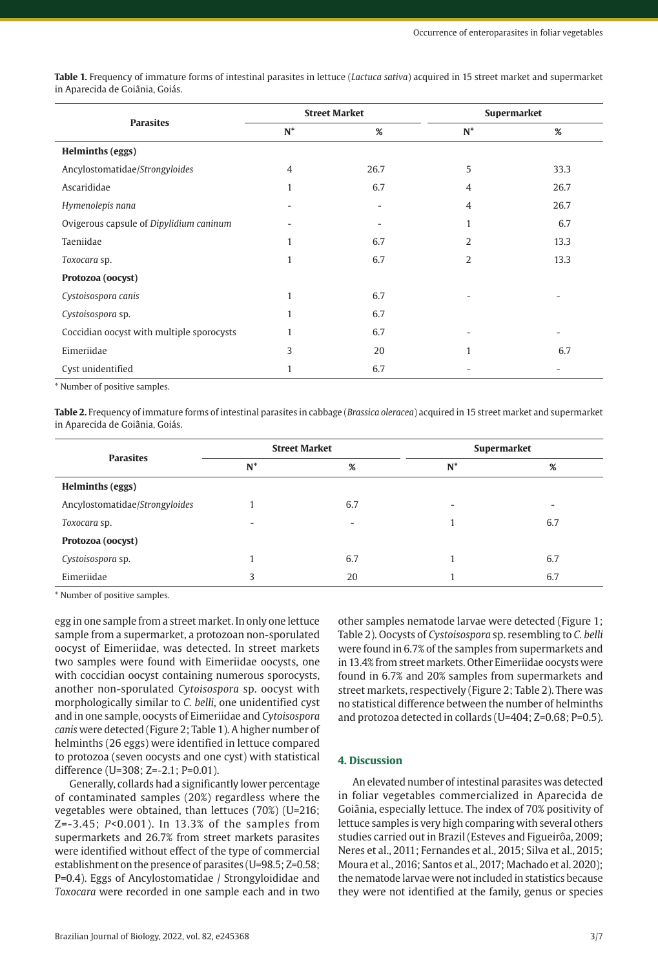**Table 1.** Frequency of immature forms of intestinal parasites in lettuce (*Lactuca sativa*) acquired in 15 street market and supermarket in Aparecida de Goiânia, Goiás.

| <b>Parasites</b>                          | <b>Street Market</b> |      | Supermarket    |                          |
|-------------------------------------------|----------------------|------|----------------|--------------------------|
|                                           | $N^*$                | %    | $N^*$          | %                        |
| <b>Helminths (eggs)</b>                   |                      |      |                |                          |
| Ancylostomatidae/Strongyloides            | $\overline{4}$       | 26.7 | 5              | 33.3                     |
| Ascarididae                               | $\mathbf{1}$         | 6.7  | $\overline{4}$ | 26.7                     |
| Hymenolepis nana                          |                      |      | $\overline{4}$ | 26.7                     |
| Ovigerous capsule of Dipylidium caninum   |                      |      | 1              | 6.7                      |
| Taeniidae                                 | $\mathbf{1}$         | 6.7  | 2              | 13.3                     |
| Toxocara sp.                              | 1                    | 6.7  | 2              | 13.3                     |
| Protozoa (oocyst)                         |                      |      |                |                          |
| Cystoisospora canis                       | 1                    | 6.7  |                |                          |
| Cystoisospora sp.                         | 1                    | 6.7  |                |                          |
| Coccidian oocyst with multiple sporocysts | 1                    | 6.7  |                | $\overline{\phantom{a}}$ |
| Eimeriidae                                | 3                    | 20   | $\mathbf{1}$   | 6.7                      |
| Cyst unidentified                         | 1                    | 6.7  |                |                          |

\* Number of positive samples.

**Table 2.** Frequency of immature forms of intestinal parasites in cabbage (*Brassica oleracea*) acquired in 15 street market and supermarket in Aparecida de Goiânia, Goiás.

| <b>Parasites</b>               | <b>Street Market</b>     |     | Supermarket |     |
|--------------------------------|--------------------------|-----|-------------|-----|
|                                | $N^*$                    | %   | $N^*$       | %   |
| Helminths (eggs)               |                          |     |             |     |
| Ancylostomatidae/Strongyloides |                          | 6.7 | ۰           | ۰   |
| Toxocara sp.                   | $\overline{\phantom{a}}$ | ۰   |             | 6.7 |
| Protozoa (oocyst)              |                          |     |             |     |
| Cystoisospora sp.              |                          | 6.7 |             | 6.7 |
| Eimeriidae                     | 3                        | 20  |             | 6.7 |

\* Number of positive samples.

egg in one sample from a street market. In only one lettuce sample from a supermarket, a protozoan non-sporulated oocyst of Eimeriidae, was detected. In street markets two samples were found with Eimeriidae oocysts, one with coccidian oocyst containing numerous sporocysts, another non-sporulated *Cytoisospora* sp. oocyst with morphologically similar to *C. belli*, one unidentified cyst and in one sample, oocysts of Eimeriidae and *Cytoisospora canis* were detected (Figure 2; Table 1). A higher number of helminths (26 eggs) were identified in lettuce compared to protozoa (seven oocysts and one cyst) with statistical difference (U=308; Z=-2.1; P=0.01).

Generally, collards had a significantly lower percentage of contaminated samples (20%) regardless where the vegetables were obtained, than lettuces (70%) (U=216; Z=-3.45; *P*<0.001). In 13.3% of the samples from supermarkets and 26.7% from street markets parasites were identified without effect of the type of commercial establishment on the presence of parasites (U=98.5; Z=0.58; P=0.4). Eggs of Ancylostomatidae / Strongyloididae and *Toxocara* were recorded in one sample each and in two

other samples nematode larvae were detected (Figure 1; Table 2). Oocysts of *Cystoisospora* sp. resembling to *C. belli* were found in 6.7% of the samples from supermarkets and in 13.4% from street markets. Other Eimeriidae oocysts were found in 6.7% and 20% samples from supermarkets and street markets, respectively (Figure 2; Table 2). There was no statistical difference between the number of helminths and protozoa detected in collards (U=404; Z=0.68; P=0.5).

## **4. Discussion**

An elevated number of intestinal parasites was detected in foliar vegetables commercialized in Aparecida de Goiânia, especially lettuce. The index of 70% positivity of lettuce samples is very high comparing with several others studies carried out in Brazil (Esteves and Figueirôa, 2009; Neres et al., 2011; Fernandes et al., 2015; Silva et al., 2015; Moura et al., 2016; Santos et al., 2017; Machado et al. 2020); the nematode larvae were not included in statistics because they were not identified at the family, genus or species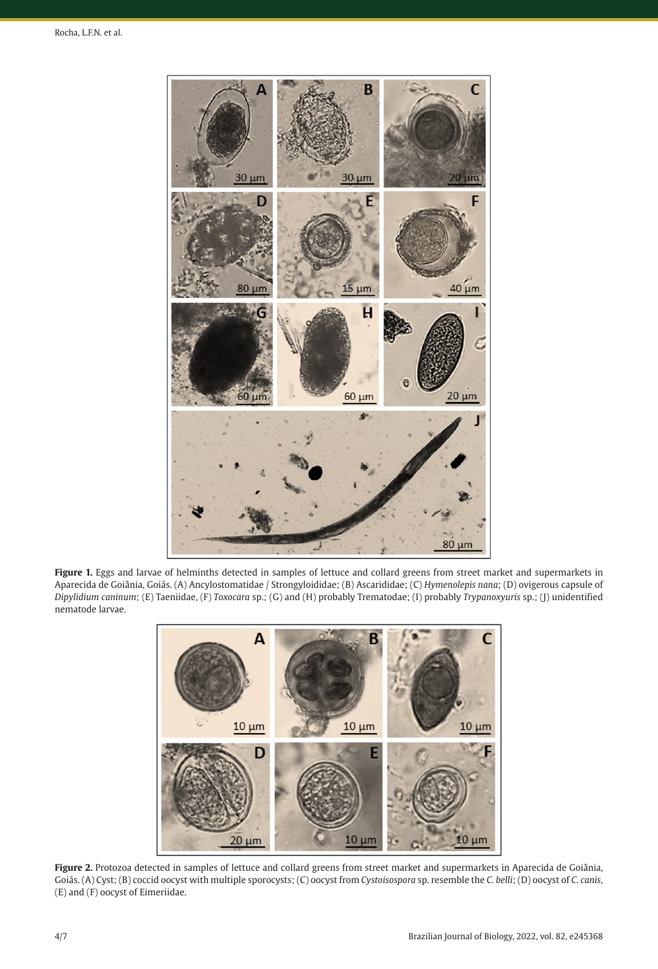

**Figure 1.** Eggs and larvae of helminths detected in samples of lettuce and collard greens from street market and supermarkets in Aparecida de Goiânia, Goiás. (A) Ancylostomatidae / Strongyloididae; (B) Ascarididae; (C) *Hymenolepis nana*; (D) ovigerous capsule of *Dipylidium caninum*; (E) Taeniidae, (F) *Toxocara* sp.; (G) and (H) probably Trematodae; (I) probably *Trypanoxyuris* sp.; (J) unidentified nematode larvae.



**Figure 2.** Protozoa detected in samples of lettuce and collard greens from street market and supermarkets in Aparecida de Goiânia, Goiás. (A) Cyst; (B) coccid oocyst with multiple sporocysts; (C) oocyst from *Cystoisospora* sp. resemble the *C. belli*; (D) oocyst of *C. canis*, (E) and (F) oocyst of Eimeriidae.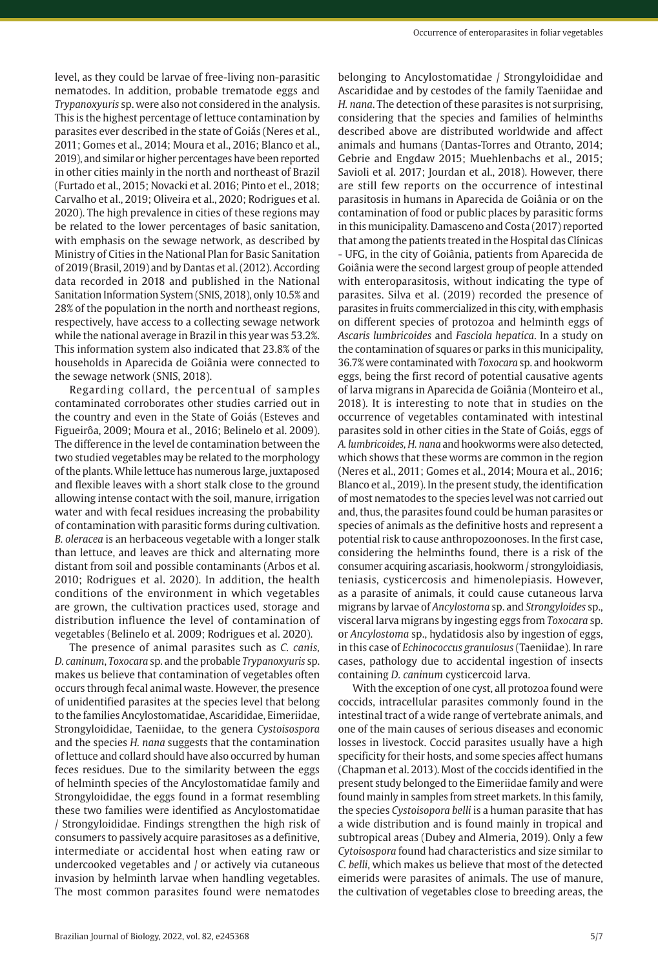level, as they could be larvae of free-living non-parasitic nematodes. In addition, probable trematode eggs and *Trypanoxyuris* sp. were also not considered in the analysis. This is the highest percentage of lettuce contamination by parasites ever described in the state of Goiás (Neres et al., 2011; Gomes et al., 2014; Moura et al., 2016; Blanco et al., 2019), and similar or higher percentages have been reported in other cities mainly in the north and northeast of Brazil (Furtado et al., 2015; Novacki et al. 2016; Pinto et el., 2018; Carvalho et al., 2019; Oliveira et al., 2020; Rodrigues et al. 2020). The high prevalence in cities of these regions may be related to the lower percentages of basic sanitation, with emphasis on the sewage network, as described by Ministry of Cities in the National Plan for Basic Sanitation of 2019 (Brasil, 2019) and by Dantas et al. (2012). According data recorded in 2018 and published in the National Sanitation Information System (SNIS, 2018), only 10.5% and 28% of the population in the north and northeast regions, respectively, have access to a collecting sewage network while the national average in Brazil in this year was 53.2%. This information system also indicated that 23.8% of the households in Aparecida de Goiânia were connected to the sewage network (SNIS, 2018).

Regarding collard, the percentual of samples contaminated corroborates other studies carried out in the country and even in the State of Goiás (Esteves and Figueirôa, 2009; Moura et al., 2016; Belinelo et al. 2009). The difference in the level de contamination between the two studied vegetables may be related to the morphology of the plants. While lettuce has numerous large, juxtaposed and flexible leaves with a short stalk close to the ground allowing intense contact with the soil, manure, irrigation water and with fecal residues increasing the probability of contamination with parasitic forms during cultivation. *B. oleracea* is an herbaceous vegetable with a longer stalk than lettuce, and leaves are thick and alternating more distant from soil and possible contaminants (Arbos et al. 2010; Rodrigues et al. 2020). In addition, the health conditions of the environment in which vegetables are grown, the cultivation practices used, storage and distribution influence the level of contamination of vegetables (Belinelo et al. 2009; Rodrigues et al. 2020).

The presence of animal parasites such as *C. canis, D. caninum*, *Toxocara* sp. and the probable *Trypanoxyuris* sp. makes us believe that contamination of vegetables often occurs through fecal animal waste. However, the presence of unidentified parasites at the species level that belong to the families Ancylostomatidae, Ascarididae, Eimeriidae, Strongyloididae, Taeniidae, to the genera *Cystoisospora* and the species *H. nana* suggests that the contamination of lettuce and collard should have also occurred by human feces residues. Due to the similarity between the eggs of helminth species of the Ancylostomatidae family and Strongyloididae, the eggs found in a format resembling these two families were identified as Ancylostomatidae / Strongyloididae. Findings strengthen the high risk of consumers to passively acquire parasitoses as a definitive, intermediate or accidental host when eating raw or undercooked vegetables and / or actively via cutaneous invasion by helminth larvae when handling vegetables. The most common parasites found were nematodes

belonging to Ancylostomatidae / Strongyloididae and Ascarididae and by cestodes of the family Taeniidae and *H. nana*. The detection of these parasites is not surprising, considering that the species and families of helminths described above are distributed worldwide and affect animals and humans (Dantas-Torres and Otranto, 2014; Gebrie and Engdaw 2015; Muehlenbachs et al., 2015; Savioli et al. 2017; Jourdan et al., 2018). However, there are still few reports on the occurrence of intestinal parasitosis in humans in Aparecida de Goiânia or on the contamination of food or public places by parasitic forms in this municipality. Damasceno and Costa (2017) reported that among the patients treated in the Hospital das Clínicas - UFG, in the city of Goiânia, patients from Aparecida de Goiânia were the second largest group of people attended with enteroparasitosis, without indicating the type of parasites. Silva et al. (2019) recorded the presence of parasites in fruits commercialized in this city, with emphasis on different species of protozoa and helminth eggs of *Ascaris lumbricoides* and *Fasciola hepatica*. In a study on the contamination of squares or parks in this municipality, 36.7% were contaminated with *Toxocara* sp. and hookworm eggs, being the first record of potential causative agents of larva migrans in Aparecida de Goiânia (Monteiro et al., 2018). It is interesting to note that in studies on the occurrence of vegetables contaminated with intestinal parasites sold in other cities in the State of Goiás, eggs of *A. lumbricoides, H. nana* and hookworms were also detected, which shows that these worms are common in the region (Neres et al., 2011; Gomes et al., 2014; Moura et al., 2016; Blanco et al., 2019). In the present study, the identification of most nematodes to the species level was not carried out and, thus, the parasites found could be human parasites or species of animals as the definitive hosts and represent a potential risk to cause anthropozoonoses. In the first case, considering the helminths found, there is a risk of the consumer acquiring ascariasis, hookworm / strongyloidiasis, teniasis, cysticercosis and himenolepiasis. However, as a parasite of animals, it could cause cutaneous larva migrans by larvae of *Ancylostoma* sp. and *Strongyloides* sp., visceral larva migrans by ingesting eggs from *Toxocara* sp. or *Ancylostoma* sp., hydatidosis also by ingestion of eggs, in this case of *Echinococcus granulosus* (Taeniidae). In rare cases, pathology due to accidental ingestion of insects containing *D. caninum* cysticercoid larva.

With the exception of one cyst, all protozoa found were coccids, intracellular parasites commonly found in the intestinal tract of a wide range of vertebrate animals, and one of the main causes of serious diseases and economic losses in livestock. Coccid parasites usually have a high specificity for their hosts, and some species affect humans (Chapman et al. 2013). Most of the coccids identified in the present study belonged to the Eimeriidae family and were found mainly in samples from street markets. In this family, the species *Cystoisopora belli* is a human parasite that has a wide distribution and is found mainly in tropical and subtropical areas (Dubey and Almeria, 2019). Only a few *Cytoisospora* found had characteristics and size similar to *C. belli*, which makes us believe that most of the detected eimerids were parasites of animals. The use of manure, the cultivation of vegetables close to breeding areas, the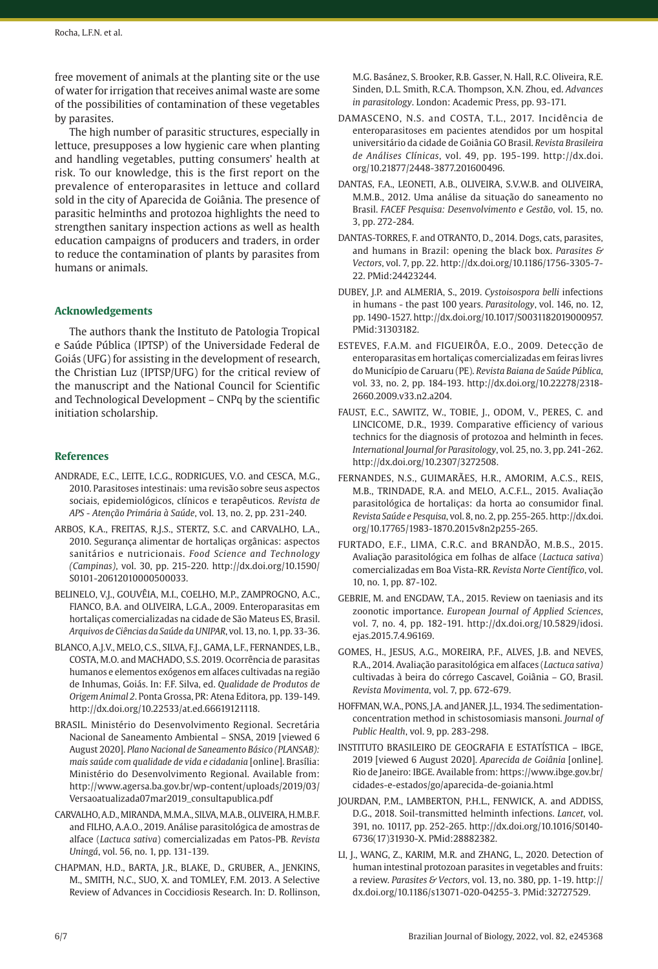free movement of animals at the planting site or the use of water for irrigation that receives animal waste are some of the possibilities of contamination of these vegetables by parasites.

The high number of parasitic structures, especially in lettuce, presupposes a low hygienic care when planting and handling vegetables, putting consumers' health at risk. To our knowledge, this is the first report on the prevalence of enteroparasites in lettuce and collard sold in the city of Aparecida de Goiânia. The presence of parasitic helminths and protozoa highlights the need to strengthen sanitary inspection actions as well as health education campaigns of producers and traders, in order to reduce the contamination of plants by parasites from humans or animals.

## **Acknowledgements**

The authors thank the Instituto de Patologia Tropical e Saúde Pública (IPTSP) of the Universidade Federal de Goiás (UFG) for assisting in the development of research, the Christian Luz (IPTSP/UFG) for the critical review of the manuscript and the National Council for Scientific and Technological Development – CNPq by the scientific initiation scholarship.

## **References**

- ANDRADE, E.C., LEITE, I.C.G., RODRIGUES, V.O. and CESCA, M.G., 2010. Parasitoses intestinais: uma revisão sobre seus aspectos sociais, epidemiológicos, clínicos e terapêuticos. *Revista de APS - Atenção Primária à Saúde*, vol. 13, no. 2, pp. 231-240.
- ARBOS, K.A., FREITAS, R.J.S., STERTZ, S.C. and CARVALHO, L.A., 2010. Segurança alimentar de hortaliças orgânicas: aspectos sanitários e nutricionais. *Food Science and Technology (Campinas)*, vol. 30, pp. 215-220. [http://dx.doi.org/10.1590/](https://doi.org/10.1590/S0101-20612010000500033) [S0101-20612010000500033](https://doi.org/10.1590/S0101-20612010000500033).
- BELINELO, V.J., GOUVÊIA, M.I., COELHO, M.P., ZAMPROGNO, A.C., FIANCO, B.A. and OLIVEIRA, L.G.A., 2009. Enteroparasitas em hortaliças comercializadas na cidade de São Mateus ES, Brasil. *Arquivos de Ciências da Saúde da UNIPAR*, vol. 13, no. 1, pp. 33-36.
- BLANCO, A.J.V., MELO, C.S., SILVA, F.J., GAMA, L.F., FERNANDES, L.B., COSTA, M.O. and MACHADO, S.S. 2019. Ocorrência de parasitas humanos e elementos exógenos em alfaces cultivadas na região de Inhumas, Goiás. In: F.F. Silva, ed. *Qualidade de Produtos de Origem Animal 2*. Ponta Grossa, PR: Atena Editora, pp. 139-149. [http://dx.doi.org/10.22533/at.ed.66619121118.](https://doi.org/10.22533/at.ed.66619121118)
- BRASIL. Ministério do Desenvolvimento Regional. Secretária Nacional de Saneamento Ambiental – SNSA, 2019 [viewed 6 August 2020]. *Plano Nacional de Saneamento Básico (PLANSAB): mais saúde com qualidade de vida e cidadania* [online]. Brasília: Ministério do Desenvolvimento Regional. Available from: http://www.agersa.ba.gov.br/wp-content/uploads/2019/03/ Versaoatualizada07mar2019\_consultapublica.pdf
- CARVALHO, A.D., MIRANDA, M.M.A., SILVA, M.A.B., OLIVEIRA, H.M.B.F. and FILHO, A.A.O., 2019. Análise parasitológica de amostras de alface (*Lactuca sativa*) comercializadas em Patos-PB. *Revista Uningá*, vol. 56, no. 1, pp. 131-139.
- CHAPMAN, H.D., BARTA, J.R., BLAKE, D., GRUBER, A., JENKINS, M., SMITH, N.C., SUO, X. and TOMLEY, F.M. 2013. A Selective Review of Advances in Coccidiosis Research. In: D. Rollinson,

M.G. Basánez, S. Brooker, R.B. Gasser, N. Hall, R.C. Oliveira, R.E. Sinden, D.L. Smith, R.C.A. Thompson, X.N. Zhou, ed. *Advances in parasitology*. London: Academic Press, pp. 93-171.

- DAMASCENO, N.S. and COSTA, T.L., 2017. Incidência de enteroparasitoses em pacientes atendidos por um hospital universitário da cidade de Goiânia GO Brasil. *Revista Brasileira de Análises Clínicas*, vol. 49, pp. 195-199. http://dx.doi. org/10.21877/2448-3877.201600496.
- DANTAS, F.A., LEONETI, A.B., OLIVEIRA, S.V.W.B. and OLIVEIRA, M.M.B., 2012. Uma análise da situação do saneamento no Brasil. *FACEF Pesquisa: Desenvolvimento e Gestão*, vol. 15, no. 3, pp. 272-284.
- DANTAS-TORRES, F. and OTRANTO, D., 2014. Dogs, cats, parasites, and humans in Brazil: opening the black box. *Parasites & Vectors*, vol. 7, pp. 22. [http://dx.doi.org/10.1186/1756-3305-7-](https://doi.org/10.1186/1756-3305-7-22) [22.](https://doi.org/10.1186/1756-3305-7-22) [PMid:24423244.](https://www.ncbi.nlm.nih.gov/entrez/query.fcgi?cmd=Retrieve&db=PubMed&list_uids=24423244&dopt=Abstract)
- DUBEY, J.P. and ALMERIA, S., 2019. *Cystoisospora belli* infections in humans - the past 100 years. *Parasitology*, vol. 146, no. 12, pp. 1490-1527. [http://dx.doi.org/10.1017/S0031182019000957](https://doi.org/10.1017/S0031182019000957). [PMid:31303182.](https://www.ncbi.nlm.nih.gov/entrez/query.fcgi?cmd=Retrieve&db=PubMed&list_uids=31303182&dopt=Abstract)
- ESTEVES, F.A.M. and FIGUEIRÔA, E.O., 2009. Detecção de enteroparasitas em hortaliças comercializadas em feiras livres do Município de Caruaru (PE). *Revista Baiana de Saúde Pública*, vol. 33, no. 2, pp. 184-193. [http://dx.doi.org/10.22278/2318-](https://doi.org/10.22278/2318-2660.2009.v33.n2.a204) [2660.2009.v33.n2.a204.](https://doi.org/10.22278/2318-2660.2009.v33.n2.a204)
- FAUST, E.C., SAWITZ, W., TOBIE, J., ODOM, V., PERES, C. and LINCICOME, D.R., 1939. Comparative efficiency of various technics for the diagnosis of protozoa and helminth in feces. *International Journal for Parasitology*, vol. 25, no. 3, pp. 241-262. [http://dx.doi.org/10.2307/3272508.](https://doi.org/10.2307/3272508)
- FERNANDES, N.S., GUIMARÃES, H.R., AMORIM, A.C.S., REIS, M.B., TRINDADE, R.A. and MELO, A.C.F.L., 2015. Avaliação parasitológica de hortaliças: da horta ao consumidor final. *Revista Saúde e Pesquisa*, vol. 8, no. 2, pp. 255-265. [http://dx.doi.](https://doi.org/10.17765/1983-1870.2015v8n2p255-265) [org/10.17765/1983-1870.2015v8n2p255-265.](https://doi.org/10.17765/1983-1870.2015v8n2p255-265)
- FURTADO, E.F., LIMA, C.R.C. and BRANDÃO, M.B.S., 2015. Avaliação parasitológica em folhas de alface (*Lactuca sativa*) comercializadas em Boa Vista-RR. *Revista Norte Científico*, vol. 10, no. 1, pp. 87-102.
- GEBRIE, M. and ENGDAW, T.A., 2015. Review on taeniasis and its zoonotic importance. *European Journal of Applied Sciences*, vol. 7, no. 4, pp. 182-191. http://dx.doi.org/10.5829/idosi. ejas.2015.7.4.96169.
- GOMES, H., JESUS, A.G., MOREIRA, P.F., ALVES, J.B. and NEVES, R.A., 2014. Avaliação parasitológica em alfaces (*Lactuca sativa)* cultivadas à beira do córrego Cascavel, Goiânia – GO, Brasil. *Revista Movimenta*, vol. 7, pp. 672-679.
- HOFFMAN, W.A., PONS, J.A. and JANER, J.L., 1934. The sedimentationconcentration method in schistosomiasis mansoni. *Journal of Public Health*, vol. 9, pp. 283-298.
- INSTITUTO BRASILEIRO DE GEOGRAFIA E ESTATÍSTICA IBGE, 2019 [viewed 6 August 2020]. *Aparecida de Goiânia* [online]. Rio de Janeiro: IBGE. Available from: https://www.ibge.gov.br/ cidades-e-estados/go/aparecida-de-goiania.html
- JOURDAN, P.M., LAMBERTON, P.H.L., FENWICK, A. and ADDISS, D.G., 2018. Soil-transmitted helminth infections. *Lancet*, vol. 391, no. 10117, pp. 252-265. [http://dx.doi.org/10.1016/S0140-](https://doi.org/10.1016/S0140-6736(17)31930-X) [6736\(17\)31930-X](https://doi.org/10.1016/S0140-6736(17)31930-X). [PMid:28882382.](https://www.ncbi.nlm.nih.gov/entrez/query.fcgi?cmd=Retrieve&db=PubMed&list_uids=28882382&dopt=Abstract)
- LI, J., WANG, Z., KARIM, M.R. and ZHANG, L., 2020. Detection of human intestinal protozoan parasites in vegetables and fruits: a review. *Parasites & Vectors*, vol. 13, no. 380, pp. 1-19. [http://](https://doi.org/10.1186/s13071-020-04255-3) [dx.doi.org/10.1186/s13071-020-04255-3.](https://doi.org/10.1186/s13071-020-04255-3) [PMid:32727529.](https://www.ncbi.nlm.nih.gov/entrez/query.fcgi?cmd=Retrieve&db=PubMed&list_uids=32727529&dopt=Abstract)